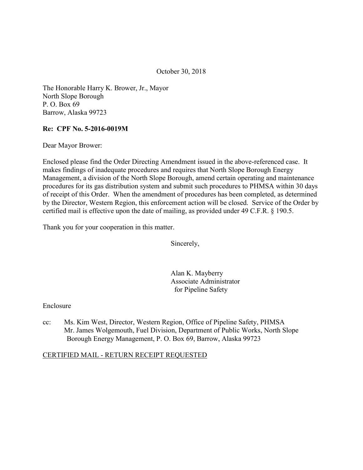October 30, 2018

 The Honorable Harry K. Brower, Jr., Mayor North Slope Borough P. O. Box 69 Barrow, Alaska 99723

#### Re: CPF No. 5-2016-0019M

Dear Mayor Brower:

 Enclosed please find the Order Directing Amendment issued in the above-referenced case. It makes findings of inadequate procedures and requires that North Slope Borough Energy Management, a division of the North Slope Borough, amend certain operating and maintenance procedures for its gas distribution system and submit such procedures to PHMSA within 30 days of receipt of this Order. When the amendment of procedures has been completed, as determined by the Director, Western Region, this enforcement action will be closed. Service of the Order by certified mail is effective upon the date of mailing, as provided under 49 C.F.R. § 190.5.

Thank you for your cooperation in this matter.

Sincerely,

 Alan K. Mayberry Associate Administrator for Pipeline Safety

Enclosure

 $cc$ : Borough Energy Management, P. O. Box 69, Barrow, Alaska 99723 Ms. Kim West, Director, Western Region, Office of Pipeline Safety, PHMSA Mr. James Wolgemouth, Fuel Division, Department of Public Works, North Slope

#### CERTIFIED MAIL - RETURN RECEIPT REQUESTED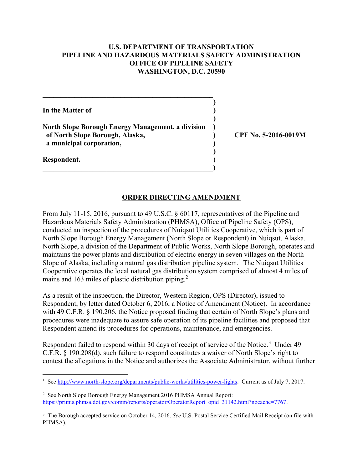### U.S. DEPARTMENT OF TRANSPORTATION PIPELINE AND HAZARDOUS MATERIALS SAFETY ADMINISTRATION OFFICE OF PIPELINE SAFETY WASHINGTON, D.C. 20590

In the Matter of  $\qquad \qquad$ ) North Slope Borough Energy Management, a division ) ) ) of North Slope Borough, Alaska, ) CPF No. 5-2016-0019M a municipal corporation,  $\qquad \qquad$ ) )

 $\hspace{.5em}$   $\hspace{.5em}$   $\hspace{.5em}$   $\hspace{.5em}$   $\hspace{.5em}$   $\hspace{.5em}$   $\hspace{.5em}$   $\hspace{.5em}$   $\hspace{.5em}$   $\hspace{.5em}$   $\hspace{.5em}$   $\hspace{.5em}$   $\hspace{.5em}$   $\hspace{.5em}$   $\hspace{.5em}$   $\hspace{.5em}$   $\hspace{.5em}$   $\hspace{.5em}$   $\hspace{.5em}$   $\hspace{.5em}$ 

 $\mathcal{L}_\text{max}$  and  $\mathcal{L}_\text{max}$  and  $\mathcal{L}_\text{max}$  and  $\mathcal{L}_\text{max}$ 

## ORDER DIRECTING AMENDMENT

 From July 11-15, 2016, pursuant to 49 U.S.C. § 60117, representatives of the Pipeline and Hazardous Materials Safety Administration (PHMSA), Office of Pipeline Safety (OPS), conducted an inspection of the procedures of Nuiqsut Utilities Cooperative, which is part of North Slope Borough Energy Management (North Slope or Respondent) in Nuiqsut, Alaska. North Slope, a division of the Department of Public Works, North Slope Borough, operates and maintains the power plants and distribution of electric energy in seven villages on the North Slope of Alaska, including a natural gas distribution pipeline system.<sup>1</sup> The Nuiqsut Utilities Cooperative operates the local natural gas distribution system comprised of almost 4 miles of mains and 163 miles of plastic distribution piping.<sup>2</sup>

 As a result of the inspection, the Director, Western Region, OPS (Director), issued to Respondent, by letter dated October 6, 2016, a Notice of Amendment (Notice). In accordance with 49 C.F.R. § 190.206, the Notice proposed finding that certain of North Slope's plans and procedures were inadequate to assure safe operation of its pipeline facilities and proposed that Respondent amend its procedures for operations, maintenance, and emergencies.

Respondent failed to respond within 30 days of receipt of service of the Notice.<sup>3</sup> Under 49 C.F.R. § 190.208(d), such failure to respond constitutes a waiver of North Slope's right to contest the allegations in the Notice and authorizes the Associate Administrator, without further

1

Respondent. )

<sup>&</sup>lt;sup>1</sup> See http://www.north-slope.org/departments/public-works/utilities-power-lights. Current as of July 7, 2017.

<sup>&</sup>lt;sup>2</sup> See North Slope Borough Energy Management 2016 PHMSA Annual Report: https://primis.phmsa.dot.gov/comm/reports/operator/OperatorReport opid 31142.html?nocache=7767.

<sup>&</sup>lt;sup>3</sup> The Borough accepted service on October 14, 2016. See U.S. Postal Service Certified Mail Receipt (on file with PHMSA).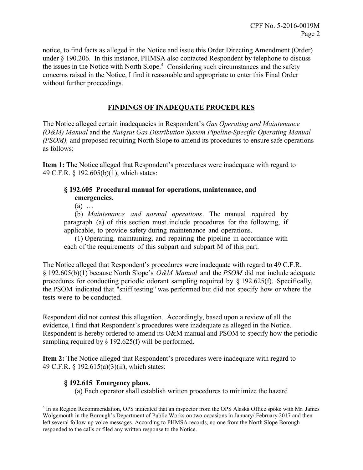notice, to find facts as alleged in the Notice and issue this Order Directing Amendment (Order) under § 190.206. In this instance, PHMSA also contacted Respondent by telephone to discuss the issues in the Notice with North Slope.<sup>4</sup> Considering such circumstances and the safety concerns raised in the Notice, I find it reasonable and appropriate to enter this Final Order without further proceedings.

## FINDINGS OF INADEQUATE PROCEDURES

The Notice alleged certain inadequacies in Respondent's Gas Operating and Maintenance (O&M) Manual and the Nuiqsut Gas Distribution System Pipeline-Specific Operating Manual (PSOM), and proposed requiring North Slope to amend its procedures to ensure safe operations as follows:

Item 1: The Notice alleged that Respondent's procedures were inadequate with regard to 49 C.F.R. § 192.605(b)(1), which states:

### § 192.605 Procedural manual for operations, maintenance, and emergencies.

(a) …

 (b) Maintenance and normal operations. The manual required by paragraph (a) of this section must include procedures for the following, if applicable, to provide safety during maintenance and operations.

 (1) Operating, maintaining, and repairing the pipeline in accordance with each of the requirements of this subpart and subpart M of this part.

 The Notice alleged that Respondent's procedures were inadequate with regard to 49 C.F.R. § 192.605(b)(1) because North Slope's O&M Manual and the PSOM did not include adequate procedures for conducting periodic odorant sampling required by § 192.625(f). Specifically, the PSOM indicated that "sniff testing" was performed but did not specify how or where the tests were to be conducted.

 Respondent did not contest this allegation. Accordingly, based upon a review of all the evidence, I find that Respondent's procedures were inadequate as alleged in the Notice. Respondent is hereby ordered to amend its O&M manual and PSOM to specify how the periodic sampling required by § 192.625(f) will be performed.

Item 2: The Notice alleged that Respondent's procedures were inadequate with regard to 49 C.F.R. § 192.615(a)(3)(ii), which states:

#### § 192.615 Emergency plans.

 $\overline{a}$ 

(a) Each operator shall establish written procedures to minimize the hazard

 <sup>4</sup> In its Region Recommendation, OPS indicated that an inspector from the OPS Alaska Office spoke with Mr. James Wolgemouth in the Borough's Department of Public Works on two occasions in January/ February 2017 and then left several follow-up voice messages. According to PHMSA records, no one from the North Slope Borough responded to the calls or filed any written response to the Notice.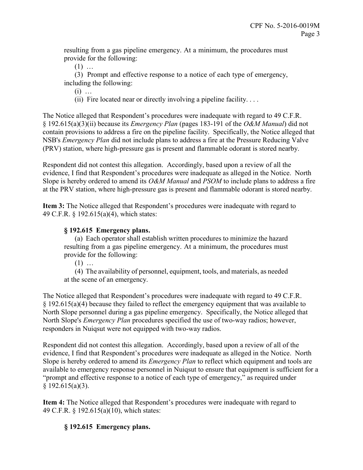resulting from a gas pipeline emergency. At a minimum, the procedures must provide for the following:

 $(1)$  ...

 (3) Prompt and effective response to a notice of each type of emergency, including the following:

(i) …

(ii) Fire located near or directly involving a pipeline facility. . . .

 The Notice alleged that Respondent's procedures were inadequate with regard to 49 C.F.R. § 192.615(a)(3)(ii) because its *Emergency Plan* (pages 183-191 of the O&M Manual) did not contain provisions to address a fire on the pipeline facility. Specifically, the Notice alleged that NSB's *Emergency Plan* did not include plans to address a fire at the Pressure Reducing Valve (PRV) station, where high-pressure gas is present and flammable odorant is stored nearby.

 Respondent did not contest this allegation. Accordingly, based upon a review of all the evidence, I find that Respondent's procedures were inadequate as alleged in the Notice. North Slope is hereby ordered to amend its O&M Manual and PSOM to include plans to address a fire at the PRV station, where high-pressure gas is present and flammable odorant is stored nearby.

Item 3: The Notice alleged that Respondent's procedures were inadequate with regard to 49 C.F.R. § 192.615(a)(4), which states:

## § 192.615 Emergency plans.

 (a) Each operator shall establish written procedures to minimize the hazard resulting from a gas pipeline emergency. At a minimum, the procedures must provide for the following:

 $(1)$  ...

 (4) The availability of personnel, equipment, tools, and materials, as needed at the scene of an emergency.

 The Notice alleged that Respondent's procedures were inadequate with regard to 49 C.F.R.  $\S 192.615(a)(4)$  because they failed to reflect the emergency equipment that was available to North Slope personnel during a gas pipeline emergency. Specifically, the Notice alleged that North Slope's *Emergency Plan* procedures specified the use of two-way radios; however, responders in Nuiqsut were not equipped with two-way radios.

 Respondent did not contest this allegation. Accordingly, based upon a review of all of the evidence, I find that Respondent's procedures were inadequate as alleged in the Notice. North Slope is hereby ordered to amend its *Emergency Plan* to reflect which equipment and tools are available to emergency response personnel in Nuiqsut to ensure that equipment is sufficient for a "prompt and effective response to a notice of each type of emergency," as required under  $§$  192.615(a)(3).

Item 4: The Notice alleged that Respondent's procedures were inadequate with regard to 49 C.F.R. § 192.615(a)(10), which states:

# § 192.615 Emergency plans.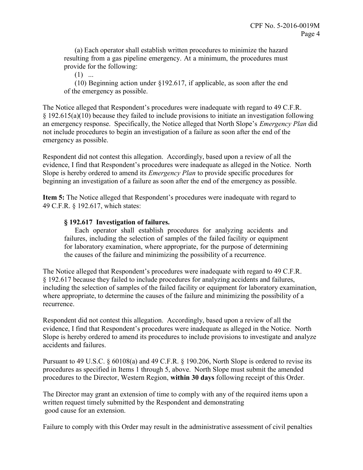(a) Each operator shall establish written procedures to minimize the hazard resulting from a gas pipeline emergency. At a minimum, the procedures must provide for the following:

 $(1)$  ...

 (10) Beginning action under §192.617, if applicable, as soon after the end of the emergency as possible.

 The Notice alleged that Respondent's procedures were inadequate with regard to 49 C.F.R. § 192.615(a)(10) because they failed to include provisions to initiate an investigation following an emergency response. Specifically, the Notice alleged that North Slope's *Emergency Plan* did not include procedures to begin an investigation of a failure as soon after the end of the emergency as possible.

 Respondent did not contest this allegation. Accordingly, based upon a review of all the evidence, I find that Respondent's procedures were inadequate as alleged in the Notice. North Slope is hereby ordered to amend its *Emergency Plan* to provide specific procedures for beginning an investigation of a failure as soon after the end of the emergency as possible.

Item 5: The Notice alleged that Respondent's procedures were inadequate with regard to 49 C.F.R. § 192.617, which states:

## § 192.617 Investigation of failures.

 Each operator shall establish procedures for analyzing accidents and failures, including the selection of samples of the failed facility or equipment for laboratory examination, where appropriate, for the purpose of determining the causes of the failure and minimizing the possibility of a recurrence.

 The Notice alleged that Respondent's procedures were inadequate with regard to 49 C.F.R. § 192.617 because they failed to include procedures for analyzing accidents and failures, including the selection of samples of the failed facility or equipment for laboratory examination, where appropriate, to determine the causes of the failure and minimizing the possibility of a recurrence.

 Respondent did not contest this allegation. Accordingly, based upon a review of all the evidence, I find that Respondent's procedures were inadequate as alleged in the Notice. North Slope is hereby ordered to amend its procedures to include provisions to investigate and analyze accidents and failures.

 Pursuant to 49 U.S.C. § 60108(a) and 49 C.F.R. § 190.206, North Slope is ordered to revise its procedures as specified in Items 1 through 5, above. North Slope must submit the amended procedures to the Director, Western Region, within 30 days following receipt of this Order.

 The Director may grant an extension of time to comply with any of the required items upon a written request timely submitted by the Respondent and demonstrating good cause for an extension.

Failure to comply with this Order may result in the administrative assessment of civil penalties